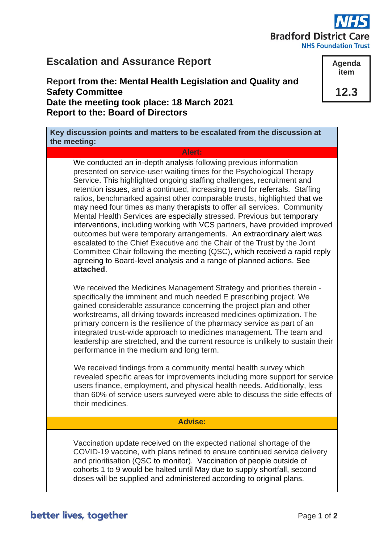# **Bradford District Care**

**NHS Foundation Trust** 

**Agenda item**

**12.3**

# **Escalation and Assurance Report**

**Report from the: Mental Health Legislation and Quality and Safety Committee Date the meeting took place: 18 March 2021 Report to the: Board of Directors**

**Key discussion points and matters to be escalated from the discussion at the meeting:**

#### **Alert:**

We conducted an in-depth analysis following previous information presented on service-user waiting times for the Psychological Therapy Service. This highlighted ongoing staffing challenges, recruitment and retention issues, and a continued, increasing trend for referrals. Staffing ratios, benchmarked against other comparable trusts, highlighted that we may need four times as many therapists to offer all services. Community Mental Health Services are especially stressed. Previous but temporary interventions, including working with VCS partners, have provided improved outcomes but were temporary arrangements. An extraordinary alert was escalated to the Chief Executive and the Chair of the Trust by the Joint Committee Chair following the meeting (QSC), which received a rapid reply agreeing to Board-level analysis and a range of planned actions. **See attached**.

We received the Medicines Management Strategy and priorities therein specifically the imminent and much needed E prescribing project. We gained considerable assurance concerning the project plan and other workstreams, all driving towards increased medicines optimization. The primary concern is the resilience of the pharmacy service as part of an integrated trust-wide approach to medicines management. The team and leadership are stretched, and the current resource is unlikely to sustain their performance in the medium and long term.

We received findings from a community mental health survey which revealed specific areas for improvements including more support for service users finance, employment, and physical health needs. Additionally, less than 60% of service users surveyed were able to discuss the side effects of their medicines.

### **Advise:**

Vaccination update received on the expected national shortage of the COVID-19 vaccine, with plans refined to ensure continued service delivery and prioritisation (QSC to monitor). Vaccination of people outside of cohorts 1 to 9 would be halted until May due to supply shortfall, second doses will be supplied and administered according to original plans.